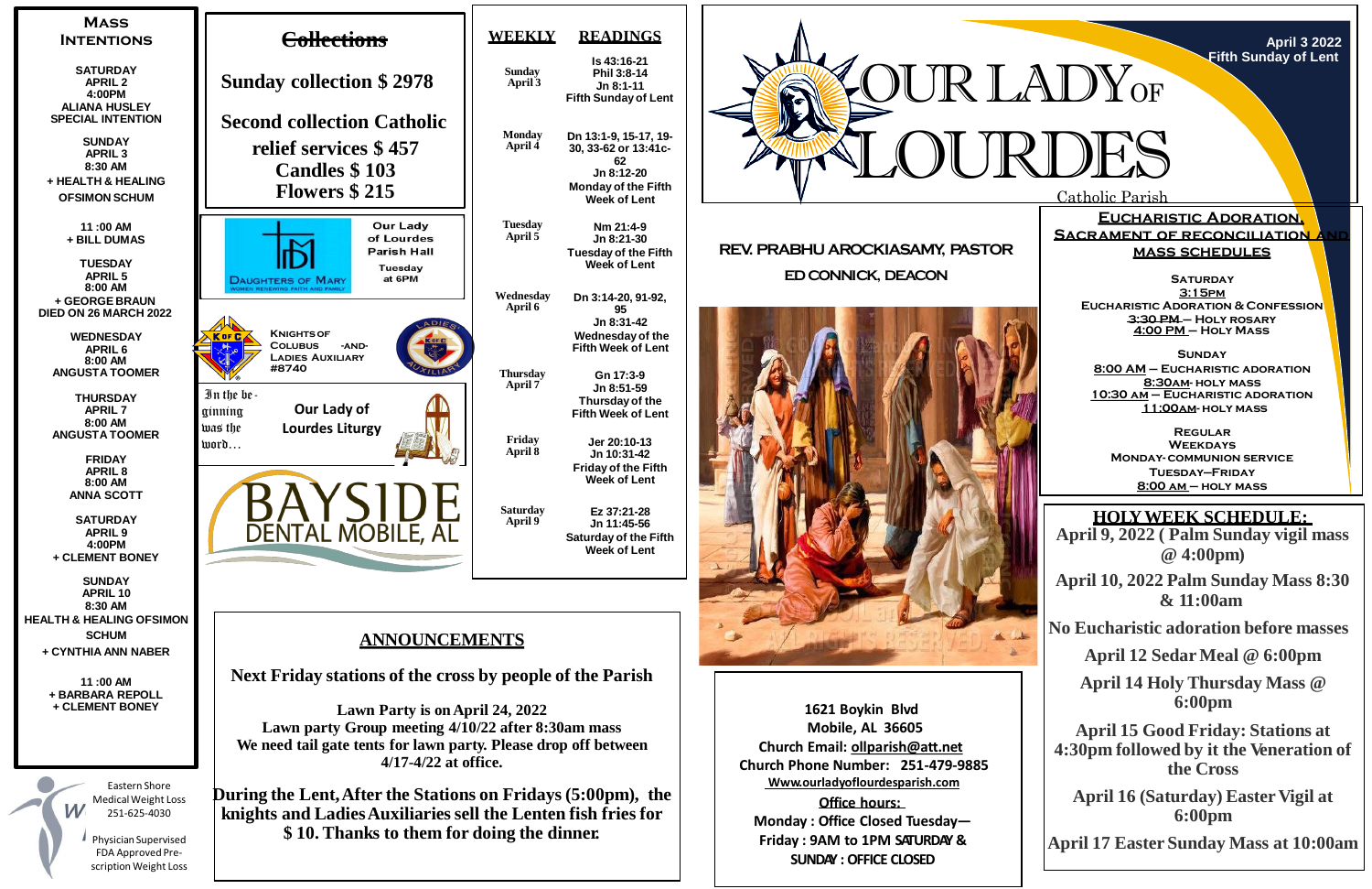**April 16 (Saturday) Easter Vigil at 6:00pm**



**SATURDAY 3:15pm Eucharistic Adoration & Confession 3:30 PM – Holy rosary 4:00 PM – Holy Mass**

Catholic Parish

**April 3 2022 Fifth Sunday of Lent**

**HOLYWEEK SCHEDULE: April 9, 2022 ( Palm Sunday vigil mass @ 4:00pm)**

**Eucharistic Adoration, SACRAMENT OF RECONCILIATION mass schedules**

**April 10, 2022 Palm Sunday Mass 8:30 & 11:00am**

**No Eucharistic adoration before masses**

**April 12 Sedar Meal @ 6:00pm**

**April 14 Holy Thursday Mass @ 6:00pm**

**April 15 Good Friday: Stations at 4:30pm followed by it the Veneration of the Cross**

**April 17 Easter Sunday Mass at 10:00am**

**Sunday**

**8:00 AM – Eucharistic adoration 8:30am- holy mass 10:30 am – Eucharistic adoration 11:00am- holy mass**

**Regular Weekdays Monday- communion service Tuesday—Friday 8:00 am – holy mass**